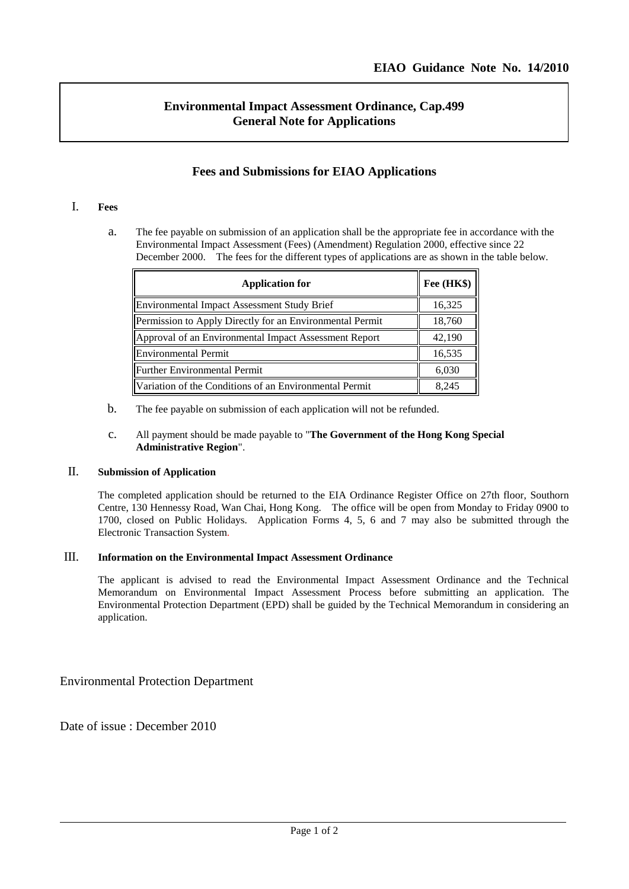l

# **Environmental Impact Assessment Ordinance, Cap.499 General Note for Applications**

## **Fees and Submissions for EIAO Applications**

### I. **Fees**

a. The fee payable on submission of an application shall be the appropriate fee in accordance with the Environmental Impact Assessment (Fees) (Amendment) Regulation 2000, effective since 22 December 2000. The fees for the different types of applications are as shown in the table below.

| <b>Application for</b>                                   | Fee (HK\$) |
|----------------------------------------------------------|------------|
| Environmental Impact Assessment Study Brief              | 16,325     |
| Permission to Apply Directly for an Environmental Permit | 18,760     |
| Approval of an Environmental Impact Assessment Report    | 42,190     |
| Environmental Permit                                     | 16,535     |
| Further Environmental Permit                             | 6,030      |
| Variation of the Conditions of an Environmental Permit   | 8,245      |

b. The fee payable on submission of each application will not be refunded.

#### c. All payment should be made payable to "**The Government of the Hong Kong Special Administrative Region**".

## II. **Submission of Application**

The completed application should be returned to the EIA Ordinance Register Office on 27th floor, Southorn Centre, 130 Hennessy Road, Wan Chai, Hong Kong. The office will be open from Monday to Friday 0900 to 1700, closed on Public Holidays. Application Forms 4, 5, 6 and 7 may also be submitted through the Electronic Transaction System.

### III. **Information on the Environmental Impact Assessment Ordinance**

The applicant is advised to read the Environmental Impact Assessment Ordinance and the Technical Memorandum on Environmental Impact Assessment Process before submitting an application. The Environmental Protection Department (EPD) shall be guided by the Technical Memorandum in considering an application.

Environmental Protection Department

Date of issue : December 2010